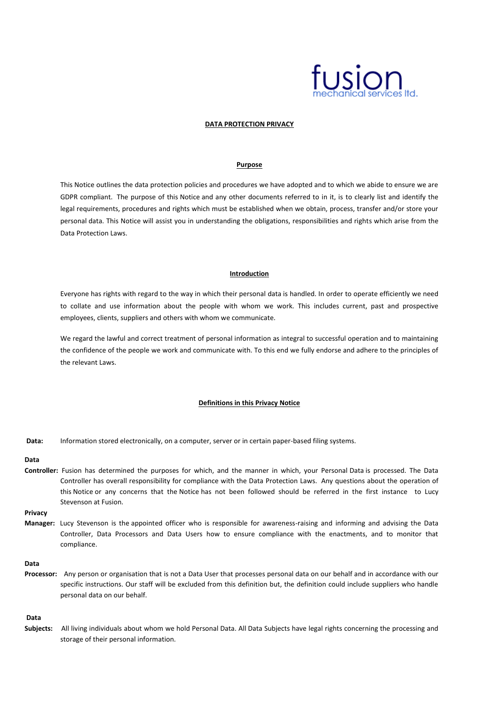

# **DATA PROTECTION PRIVACY**

### **Purpose**

This Notice outlines the data protection policies and procedures we have adopted and to which we abide to ensure we are GDPR compliant. The purpose of this Notice and any other documents referred to in it, is to clearly list and identify the legal requirements, procedures and rights which must be established when we obtain, process, transfer and/or store your personal data. This Notice will assist you in understanding the obligations, responsibilities and rights which arise from the Data Protection Laws.

## **Introduction**

Everyone has rights with regard to the way in which their personal data is handled. In order to operate efficiently we need to collate and use information about the people with whom we work. This includes current, past and prospective employees, clients, suppliers and others with whom we communicate.

We regard the lawful and correct treatment of personal information as integral to successful operation and to maintaining the confidence of the people we work and communicate with. To this end we fully endorse and adhere to the principles of the relevant Laws.

## **Definitions in this Privacy Notice**

**Data:** Information stored electronically, on a computer, server or in certain paper-based filing systems.

## **Data**

**Controller:** Fusion has determined the purposes for which, and the manner in which, your Personal Data is processed. The Data Controller has overall responsibility for compliance with the Data Protection Laws. Any questions about the operation of this Notice or any concerns that the Notice has not been followed should be referred in the first instance to Lucy Stevenson at Fusion.

**Privacy**

**Manager:** Lucy Stevenson is the appointed officer who is responsible for awareness-raising and informing and advising the Data Controller, Data Processors and Data Users how to ensure compliance with the enactments, and to monitor that compliance.

## **Data**

**Processor:** Any person or organisation that is not a Data User that processes personal data on our behalf and in accordance with our specific instructions. Our staff will be excluded from this definition but, the definition could include suppliers who handle personal data on our behalf.

**Data**

**Subjects:** All living individuals about whom we hold Personal Data. All Data Subjects have legal rights concerning the processing and storage of their personal information.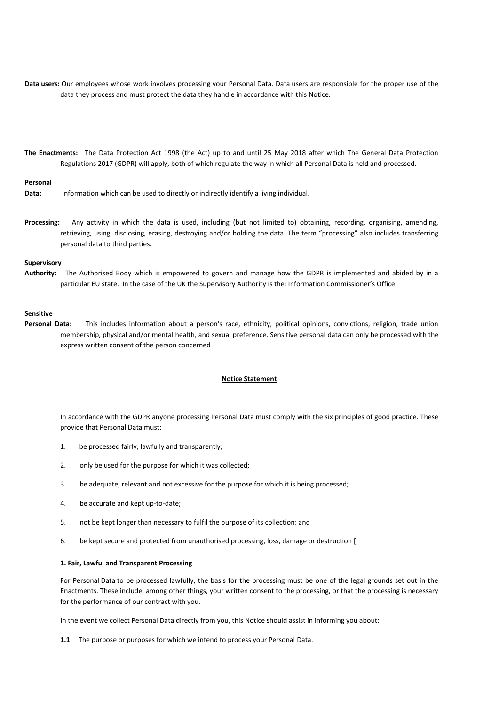- **Data users:** Our employees whose work involves processing your Personal Data. Data users are responsible for the proper use of the data they process and must protect the data they handle in accordance with this Notice.
- **The Enactments:** The Data Protection Act 1998 (the Act) up to and until 25 May 2018 after which The General Data Protection Regulations 2017 (GDPR) will apply, both of which regulate the way in which all Personal Data is held and processed.

## **Personal**

- **Data:** Information which can be used to directly or indirectly identify a living individual.
- **Processing:** Any activity in which the data is used, including (but not limited to) obtaining, recording, organising, amending, retrieving, using, disclosing, erasing, destroying and/or holding the data. The term "processing" also includes transferring personal data to third parties.

#### **Supervisory**

**Authority:** The Authorised Body which is empowered to govern and manage how the GDPR is implemented and abided by in a particular EU state. In the case of the UK the Supervisory Authority is the: Information Commissioner's Office.

# **Sensitive**

Personal Data: This includes information about a person's race, ethnicity, political opinions, convictions, religion, trade union membership, physical and/or mental health, and sexual preference. Sensitive personal data can only be processed with the express written consent of the person concerned

## **Notice Statement**

In accordance with the GDPR anyone processing Personal Data must comply with the six principles of good practice. These provide that Personal Data must:

- 1. be processed fairly, lawfully and transparently;
- 2. only be used for the purpose for which it was collected;
- 3. be adequate, relevant and not excessive for the purpose for which it is being processed;
- 4. be accurate and kept up-to-date;
- 5. not be kept longer than necessary to fulfil the purpose of its collection; and
- 6. be kept secure and protected from unauthorised processing, loss, damage or destruction [

## **1. Fair, Lawful and Transparent Processing**

For Personal Data to be processed lawfully, the basis for the processing must be one of the legal grounds set out in the Enactments. These include, among other things, your written consent to the processing, or that the processing is necessary for the performance of our contract with you.

In the event we collect Personal Data directly from you, this Notice should assist in informing you about:

**1.1** The purpose or purposes for which we intend to process your Personal Data.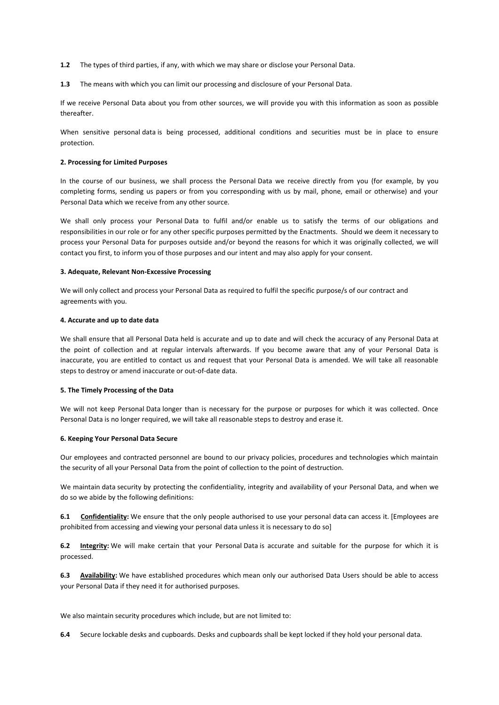**1.2** The types of third parties, if any, with which we may share or disclose your Personal Data.

**1.3** The means with which you can limit our processing and disclosure of your Personal Data.

If we receive Personal Data about you from other sources, we will provide you with this information as soon as possible thereafter.

When sensitive personal data is being processed, additional conditions and securities must be in place to ensure protection.

# **2. Processing for Limited Purposes**

In the course of our business, we shall process the Personal Data we receive directly from you (for example, by you completing forms, sending us papers or from you corresponding with us by mail, phone, email or otherwise) and your Personal Data which we receive from any other source.

We shall only process your Personal Data to fulfil and/or enable us to satisfy the terms of our obligations and responsibilities in our role or for any other specific purposes permitted by the Enactments. Should we deem it necessary to process your Personal Data for purposes outside and/or beyond the reasons for which it was originally collected, we will contact you first, to inform you of those purposes and our intent and may also apply for your consent.

### **3. Adequate, Relevant Non-Excessive Processing**

We will only collect and process your Personal Data as required to fulfil the specific purpose/s of our contract and agreements with you.

### **4. Accurate and up to date data**

We shall ensure that all Personal Data held is accurate and up to date and will check the accuracy of any Personal Data at the point of collection and at regular intervals afterwards. If you become aware that any of your Personal Data is inaccurate, you are entitled to contact us and request that your Personal Data is amended. We will take all reasonable steps to destroy or amend inaccurate or out-of-date data.

# **5. The Timely Processing of the Data**

We will not keep Personal Data longer than is necessary for the purpose or purposes for which it was collected. Once Personal Data is no longer required, we will take all reasonable steps to destroy and erase it.

## **6. Keeping Your Personal Data Secure**

Our employees and contracted personnel are bound to our privacy policies, procedures and technologies which maintain the security of all your Personal Data from the point of collection to the point of destruction.

We maintain data security by protecting the confidentiality, integrity and availability of your Personal Data, and when we do so we abide by the following definitions:

**6.1 Confidentiality:** We ensure that the only people authorised to use your personal data can access it. [Employees are prohibited from accessing and viewing your personal data unless it is necessary to do so]

**6.2 Integrity:** We will make certain that your Personal Data is accurate and suitable for the purpose for which it is processed.

**6.3 Availability:** We have established procedures which mean only our authorised Data Users should be able to access your Personal Data if they need it for authorised purposes.

We also maintain security procedures which include, but are not limited to:

**6.4** Secure lockable desks and cupboards. Desks and cupboards shall be kept locked if they hold your personal data.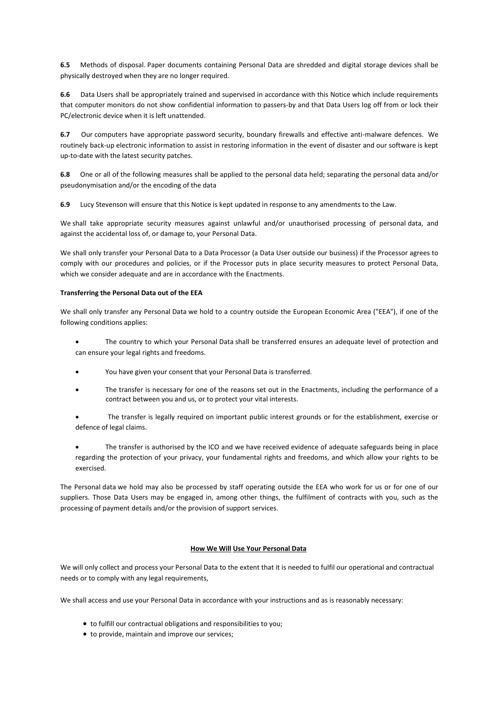**6.5** Methods of disposal. Paper documents containing Personal Data are shredded and digital storage devices shall be physically destroyed when they are no longer required.

**6.6** Data Users shall be appropriately trained and supervised in accordance with this Notice which include requirements that computer monitors do not show confidential information to passers-by and that Data Users log off from or lock their PC/electronic device when it is left unattended.

**6.7** Our computers have appropriate password security, boundary firewalls and effective anti-malware defences. We routinely back-up electronic information to assist in restoring information in the event of disaster and our software is kept up-to-date with the latest security patches.

**6.8** One or all of the following measures shall be applied to the personal data held; separating the personal data and/or pseudonymisation and/or the encoding of the data

**6.9** Lucy Stevenson will ensure that this Notice is kept updated in response to any amendments to the Law.

We shall take appropriate security measures against unlawful and/or unauthorised processing of personal data, and against the accidental loss of, or damage to, your Personal Data.

We shall only transfer your Personal Data to a Data Processor (a Data User outside our business) if the Processor agrees to comply with our procedures and policies, or if the Processor puts in place security measures to protect Personal Data, which we consider adequate and are in accordance with the Enactments.

# **Transferring the Personal Data out of the EEA**

We shall only transfer any Personal Data we hold to a country outside the European Economic Area ("EEA"), if one of the following conditions applies:

- The country to which your Personal Data shall be transferred ensures an adequate level of protection and can ensure your legal rights and freedoms.
- You have given your consent that your Personal Data is transferred.
- The transfer is necessary for one of the reasons set out in the Enactments, including the performance of a contract between you and us, or to protect your vital interests.
- The transfer is legally required on important public interest grounds or for the establishment, exercise or defence of legal claims.
- The transfer is authorised by the ICO and we have received evidence of adequate safeguards being in place regarding the protection of your privacy, your fundamental rights and freedoms, and which allow your rights to be exercised.

The Personal data we hold may also be processed by staff operating outside the EEA who work for us or for one of our suppliers. Those Data Users may be engaged in, among other things, the fulfilment of contracts with you, such as the processing of payment details and/or the provision of support services.

# **How We Will Use Your Personal Data**

We will only collect and process your Personal Data to the extent that it is needed to fulfil our operational and contractual needs or to comply with any legal requirements,

We shall access and use your Personal Data in accordance with your instructions and as is reasonably necessary:

- to fulfill our contractual obligations and responsibilities to you;
- to provide, maintain and improve our services;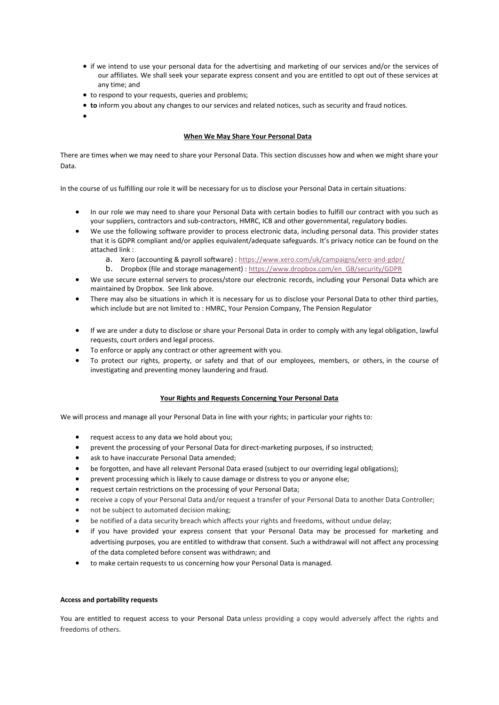- if we intend to use your personal data for the advertising and marketing of our services and/or the services of our affiliates. We shall seek your separate express consent and you are entitled to opt out of these services at any time; and
- to respond to your requests, queries and problems;
- **to** inform you about any changes to our services and related notices, such as security and fraud notices.
- •

# **When We May Share Your Personal Data**

There are times when we may need to share your Personal Data. This section discusses how and when we might share your Data.

In the course of us fulfilling our role it will be necessary for us to disclose your Personal Data in certain situations:

- In our role we may need to share your Personal Data with certain bodies to fulfill our contract with you such as your suppliers, contractors and sub-contractors, HMRC, ICB and other governmental, regulatory bodies.
- We use the following software provider to process electronic data, including personal data. This provider states that it is GDPR compliant and/or applies equivalent/adequate safeguards. It's privacy notice can be found on the attached link :
	- a. Xero (accounting & payroll software) : <https://www.xero.com/uk/campaigns/xero-and-gdpr/>
	- b. Dropbox (file and storage management) : [https://www.dropbox.com/en\\_GB/security/GDPR](https://www.dropbox.com/en_GB/security/GDPR)
- We use secure external servers to process/store our electronic records, including your Personal Data which are maintained by Dropbox. See link above.
- There may also be situations in which it is necessary for us to disclose your Personal Data to other third parties, which include but are not limited to : HMRC, Your Pension Company, The Pension Regulator
- If we are under a duty to disclose or share your Personal Data in order to comply with any legal obligation, lawful requests, court orders and legal process.
- To enforce or apply any contract or other agreement with you.
- To protect our rights, property, or safety and that of our employees, members, or others, in the course of investigating and preventing money laundering and fraud.

## **Your Rights and Requests Concerning Your Personal Data**

We will process and manage all your Personal Data in line with your rights; in particular your rights to:

- request access to any data we hold about you;
- prevent the processing of your Personal Data for direct-marketing purposes, if so instructed;
- ask to have inaccurate Personal Data amended;
- be forgotten, and have all relevant Personal Data erased (subject to our overriding legal obligations);
- prevent processing which is likely to cause damage or distress to you or anyone else;
- request certain restrictions on the processing of your Personal Data;
- receive a copy of your Personal Data and/or request a transfer of your Personal Data to another Data Controller;
- not be subject to automated decision making;
- be notified of a data security breach which affects your rights and freedoms, without undue delay;
- if you have provided your express consent that your Personal Data may be processed for marketing and advertising purposes, you are entitled to withdraw that consent. Such a withdrawal will not affect any processing of the data completed before consent was withdrawn; and
- to make certain requests to us concerning how your Personal Data is managed.

## **Access and portability requests**

You are entitled to request access to your Personal Data unless providing a copy would adversely affect the rights and freedoms of others.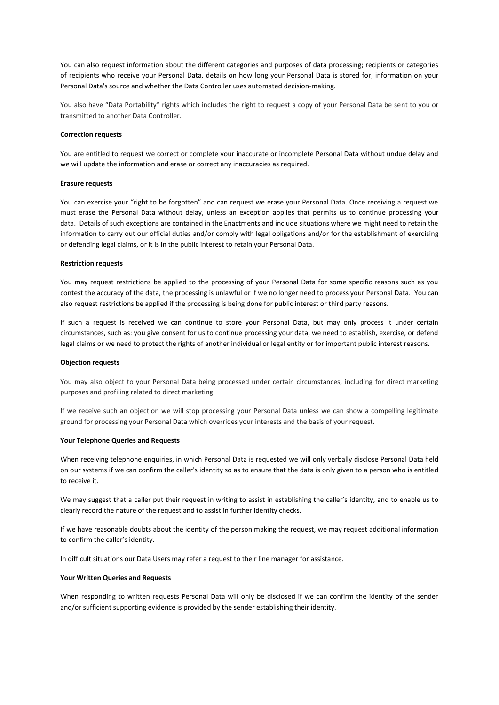You can also request information about the different categories and purposes of data processing; recipients or categories of recipients who receive your Personal Data, details on how long your Personal Data is stored for, information on your Personal Data's source and whether the Data Controller uses automated decision-making.

You also have "Data Portability" rights which includes the right to request a copy of your Personal Data be sent to you or transmitted to another Data Controller.

### **Correction requests**

You are entitled to request we correct or complete your inaccurate or incomplete Personal Data without undue delay and we will update the information and erase or correct any inaccuracies as required.

### **Erasure requests**

You can exercise your "right to be forgotten" and can request we erase your Personal Data. Once receiving a request we must erase the Personal Data without delay, unless an exception applies that permits us to continue processing your data. Details of such exceptions are contained in the Enactments and include situations where we might need to retain the information to carry out our official duties and/or comply with legal obligations and/or for the establishment of exercising or defending legal claims, or it is in the public interest to retain your Personal Data.

### **Restriction requests**

You may request restrictions be applied to the processing of your Personal Data for some specific reasons such as you contest the accuracy of the data, the processing is unlawful or if we no longer need to process your Personal Data. You can also request restrictions be applied if the processing is being done for public interest or third party reasons.

If such a request is received we can continue to store your Personal Data, but may only process it under certain circumstances, such as: you give consent for us to continue processing your data, we need to establish, exercise, or defend legal claims or we need to protect the rights of another individual or legal entity or for important public interest reasons.

#### **Objection requests**

You may also object to your Personal Data being processed under certain circumstances, including for direct marketing purposes and profiling related to direct marketing.

If we receive such an objection we will stop processing your Personal Data unless we can show a compelling legitimate ground for processing your Personal Data which overrides your interests and the basis of your request.

### **Your Telephone Queries and Requests**

When receiving telephone enquiries, in which Personal Data is requested we will only verbally disclose Personal Data held on our systems if we can confirm the caller's identity so as to ensure that the data is only given to a person who is entitled to receive it.

We may suggest that a caller put their request in writing to assist in establishing the caller's identity, and to enable us to clearly record the nature of the request and to assist in further identity checks.

If we have reasonable doubts about the identity of the person making the request, we may request additional information to confirm the caller's identity.

In difficult situations our Data Users may refer a request to their line manager for assistance.

## **Your Written Queries and Requests**

When responding to written requests Personal Data will only be disclosed if we can confirm the identity of the sender and/or sufficient supporting evidence is provided by the sender establishing their identity.